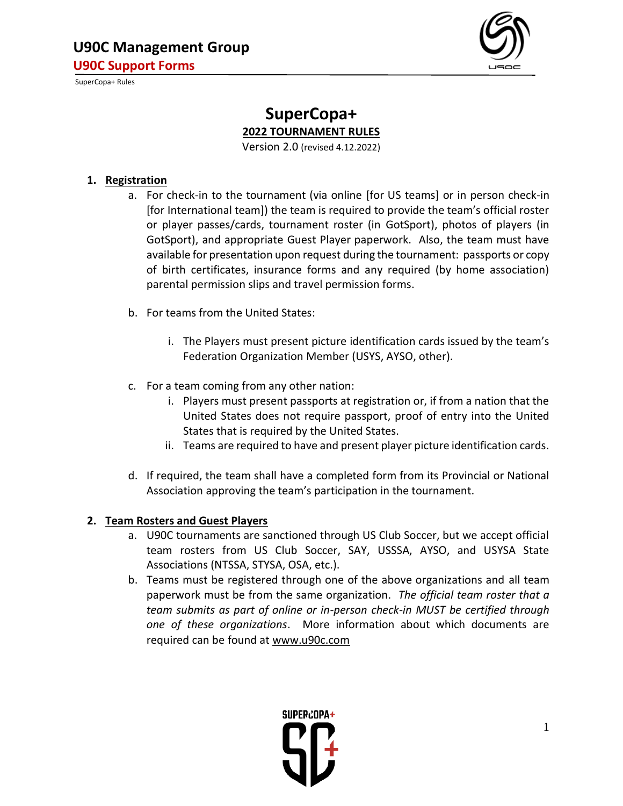

# **SuperCopa+ 2022 TOURNAMENT RULES**

Version 2.0 (revised 4.12.2022)

## **1. Registration**

- a. For check-in to the tournament (via online [for US teams] or in person check-in [for International team]) the team is required to provide the team's official roster or player passes/cards, tournament roster (in GotSport), photos of players (in GotSport), and appropriate Guest Player paperwork. Also, the team must have available for presentation upon request during the tournament: passports or copy of birth certificates, insurance forms and any required (by home association) parental permission slips and travel permission forms.
- b. For teams from the United States:
	- i. The Players must present picture identification cards issued by the team's Federation Organization Member (USYS, AYSO, other).
- c. For a team coming from any other nation:
	- i. Players must present passports at registration or, if from a nation that the United States does not require passport, proof of entry into the United States that is required by the United States.
	- ii. Teams are required to have and present player picture identification cards.
- d. If required, the team shall have a completed form from its Provincial or National Association approving the team's participation in the tournament.

## **2. Team Rosters and Guest Players**

- a. U90C tournaments are sanctioned through US Club Soccer, but we accept official team rosters from US Club Soccer, SAY, USSSA, AYSO, and USYSA State Associations (NTSSA, STYSA, OSA, etc.).
- b. Teams must be registered through one of the above organizations and all team paperwork must be from the same organization. *The official team roster that a team submits as part of online or in-person check-in MUST be certified through one of these organizations*. More information about which documents are required can be found a[t www.u90c.com](http://www.u90c.com/)

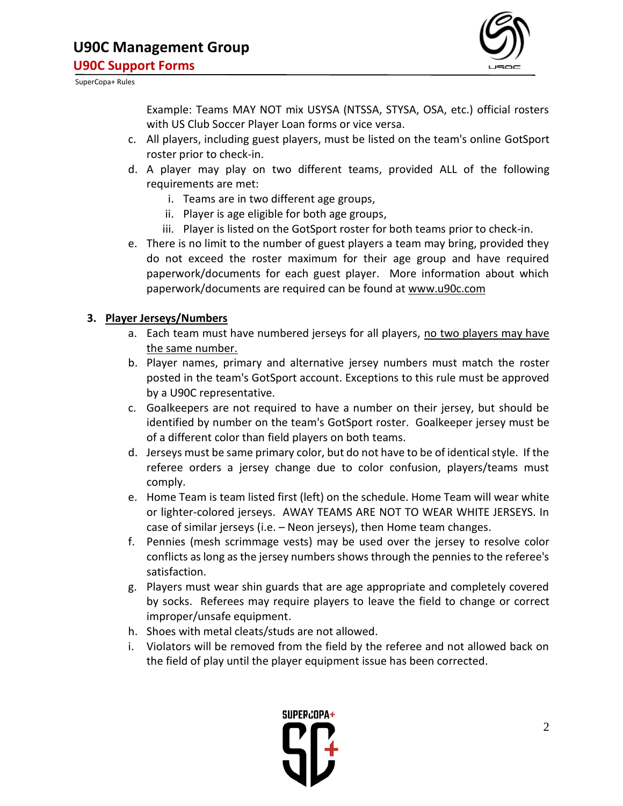

Example: Teams MAY NOT mix USYSA (NTSSA, STYSA, OSA, etc.) official rosters with US Club Soccer Player Loan forms or vice versa.

- c. All players, including guest players, must be listed on the team's online GotSport roster prior to check-in.
- d. A player may play on two different teams, provided ALL of the following requirements are met:
	- i. Teams are in two different age groups,
	- ii. Player is age eligible for both age groups,
	- iii. Player is listed on the GotSport roster for both teams prior to check-in.
- e. There is no limit to the number of guest players a team may bring, provided they do not exceed the roster maximum for their age group and have required paperwork/documents for each guest player. More information about which paperwork/documents are required can be found at [www.u90c.com](http://www.u90c.com/)

# **3. Player Jerseys/Numbers**

- a. Each team must have numbered jerseys for all players, no two players may have the same number.
- b. Player names, primary and alternative jersey numbers must match the roster posted in the team's GotSport account. Exceptions to this rule must be approved by a U90C representative.
- c. Goalkeepers are not required to have a number on their jersey, but should be identified by number on the team's GotSport roster. Goalkeeper jersey must be of a different color than field players on both teams.
- d. Jerseys must be same primary color, but do not have to be of identical style. If the referee orders a jersey change due to color confusion, players/teams must comply.
- e. Home Team is team listed first (left) on the schedule. Home Team will wear white or lighter-colored jerseys. AWAY TEAMS ARE NOT TO WEAR WHITE JERSEYS. In case of similar jerseys (i.e. – Neon jerseys), then Home team changes.
- f. Pennies (mesh scrimmage vests) may be used over the jersey to resolve color conflicts as long as the jersey numbers shows through the pennies to the referee's satisfaction.
- g. Players must wear shin guards that are age appropriate and completely covered by socks. Referees may require players to leave the field to change or correct improper/unsafe equipment.
- h. Shoes with metal cleats/studs are not allowed.
- i. Violators will be removed from the field by the referee and not allowed back on the field of play until the player equipment issue has been corrected.

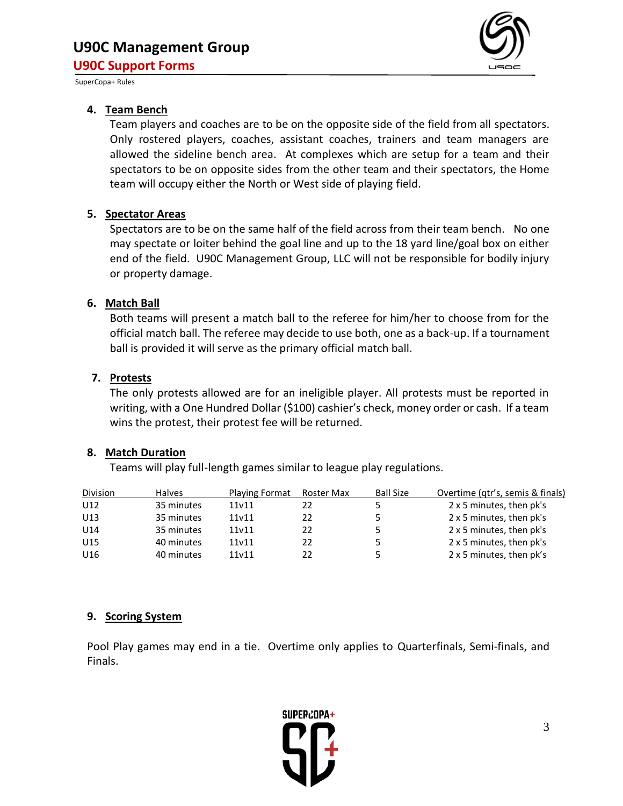

#### **4. Team Bench**

Team players and coaches are to be on the opposite side of the field from all spectators. Only rostered players, coaches, assistant coaches, trainers and team managers are allowed the sideline bench area. At complexes which are setup for a team and their spectators to be on opposite sides from the other team and their spectators, the Home team will occupy either the North or West side of playing field.

#### **5. Spectator Areas**

Spectators are to be on the same half of the field across from their team bench. No one may spectate or loiter behind the goal line and up to the 18 yard line/goal box on either end of the field. U90C Management Group, LLC will not be responsible for bodily injury or property damage.

#### **6. Match Ball**

Both teams will present a match ball to the referee for him/her to choose from for the official match ball. The referee may decide to use both, one as a back-up. If a tournament ball is provided it will serve as the primary official match ball.

## **7. Protests**

The only protests allowed are for an ineligible player. All protests must be reported in writing, with a One Hundred Dollar (\$100) cashier's check, money order or cash. If a team wins the protest, their protest fee will be returned.

## **8. Match Duration**

Teams will play full-length games similar to league play regulations.

| Division | <b>Halves</b> | <b>Playing Format</b> | Roster Max | <b>Ball Size</b> | Overtime (qtr's, semis & finals) |
|----------|---------------|-----------------------|------------|------------------|----------------------------------|
| U12      | 35 minutes    | 11v11                 | 22         |                  | 2 x 5 minutes, then pk's         |
| U13      | 35 minutes    | 11v11                 | 22         |                  | 2 x 5 minutes, then pk's         |
| U14      | 35 minutes    | 11v11                 | 22         |                  | 2 x 5 minutes, then pk's         |
| U15      | 40 minutes    | 11v11                 | 22         |                  | 2 x 5 minutes, then pk's         |
| U16      | 40 minutes    | 11v11                 | 22         |                  | 2 x 5 minutes, then pk's         |

#### **9. Scoring System**

Pool Play games may end in a tie. Overtime only applies to Quarterfinals, Semi-finals, and Finals.

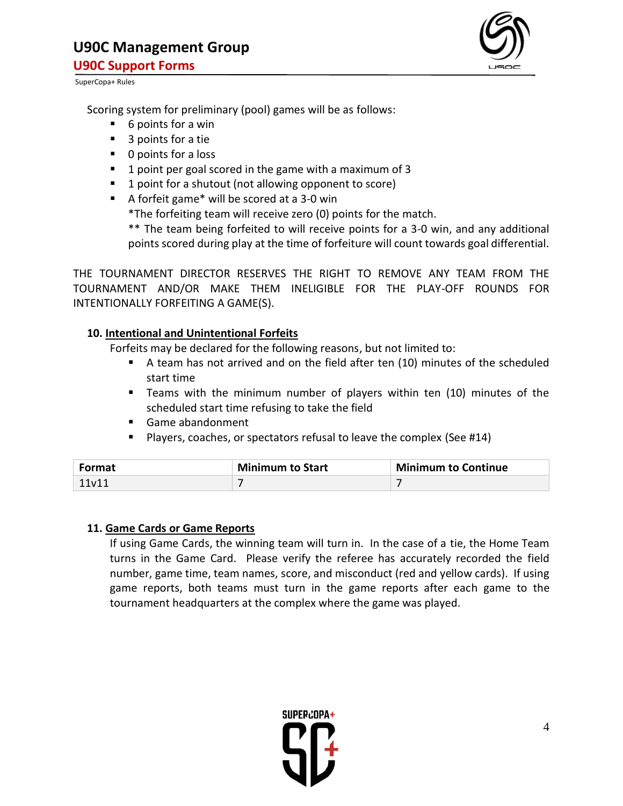

Scoring system for preliminary (pool) games will be as follows:

- 6 points for a win
- 3 points for a tie
- 0 points for a loss
- 1 point per goal scored in the game with a maximum of 3
- 1 point for a shutout (not allowing opponent to score)
- A forfeit game\* will be scored at a 3-0 win

\*The forfeiting team will receive zero (0) points for the match.

\*\* The team being forfeited to will receive points for a 3-0 win, and any additional points scored during play at the time of forfeiture will count towards goal differential.

THE TOURNAMENT DIRECTOR RESERVES THE RIGHT TO REMOVE ANY TEAM FROM THE TOURNAMENT AND/OR MAKE THEM INELIGIBLE FOR THE PLAY-OFF ROUNDS FOR INTENTIONALLY FORFEITING A GAME(S).

## **10. Intentional and Unintentional Forfeits**

Forfeits may be declared for the following reasons, but not limited to:

- A team has not arrived and on the field after ten (10) minutes of the scheduled start time
- Teams with the minimum number of players within ten (10) minutes of the scheduled start time refusing to take the field
- Game abandonment
- Players, coaches, or spectators refusal to leave the complex (See #14)

| Format | <b>Minimum to Start</b> | <b>Minimum to Continue</b> |
|--------|-------------------------|----------------------------|
| 11v11  |                         |                            |

## **11. Game Cards or Game Reports**

If using Game Cards, the winning team will turn in. In the case of a tie, the Home Team turns in the Game Card. Please verify the referee has accurately recorded the field number, game time, team names, score, and misconduct (red and yellow cards). If using game reports, both teams must turn in the game reports after each game to the tournament headquarters at the complex where the game was played.

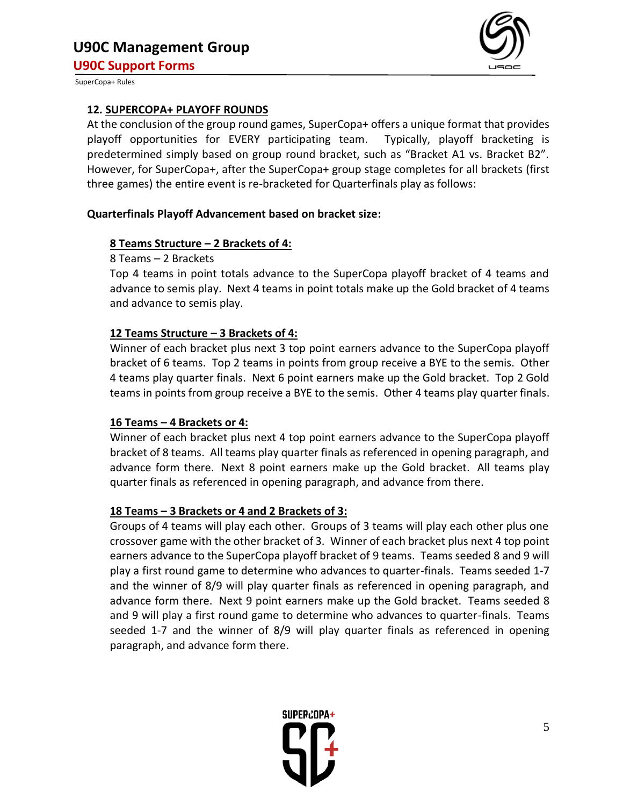

#### **12. SUPERCOPA+ PLAYOFF ROUNDS**

At the conclusion of the group round games, SuperCopa+ offers a unique format that provides playoff opportunities for EVERY participating team. Typically, playoff bracketing is predetermined simply based on group round bracket, such as "Bracket A1 vs. Bracket B2". However, for SuperCopa+, after the SuperCopa+ group stage completes for all brackets (first three games) the entire event is re-bracketed for Quarterfinals play as follows:

#### **Quarterfinals Playoff Advancement based on bracket size:**

## **8 Teams Structure – 2 Brackets of 4:**

#### 8 Teams – 2 Brackets

Top 4 teams in point totals advance to the SuperCopa playoff bracket of 4 teams and advance to semis play. Next 4 teams in point totals make up the Gold bracket of 4 teams and advance to semis play.

## **12 Teams Structure – 3 Brackets of 4:**

Winner of each bracket plus next 3 top point earners advance to the SuperCopa playoff bracket of 6 teams. Top 2 teams in points from group receive a BYE to the semis. Other 4 teams play quarter finals. Next 6 point earners make up the Gold bracket. Top 2 Gold teams in points from group receive a BYE to the semis. Other 4 teams play quarter finals.

## **16 Teams – 4 Brackets or 4:**

Winner of each bracket plus next 4 top point earners advance to the SuperCopa playoff bracket of 8 teams. All teams play quarter finals as referenced in opening paragraph, and advance form there. Next 8 point earners make up the Gold bracket. All teams play quarter finals as referenced in opening paragraph, and advance from there.

## **18 Teams – 3 Brackets or 4 and 2 Brackets of 3:**

Groups of 4 teams will play each other. Groups of 3 teams will play each other plus one crossover game with the other bracket of 3. Winner of each bracket plus next 4 top point earners advance to the SuperCopa playoff bracket of 9 teams. Teams seeded 8 and 9 will play a first round game to determine who advances to quarter-finals. Teams seeded 1-7 and the winner of 8/9 will play quarter finals as referenced in opening paragraph, and advance form there. Next 9 point earners make up the Gold bracket. Teams seeded 8 and 9 will play a first round game to determine who advances to quarter-finals. Teams seeded 1-7 and the winner of 8/9 will play quarter finals as referenced in opening paragraph, and advance form there.

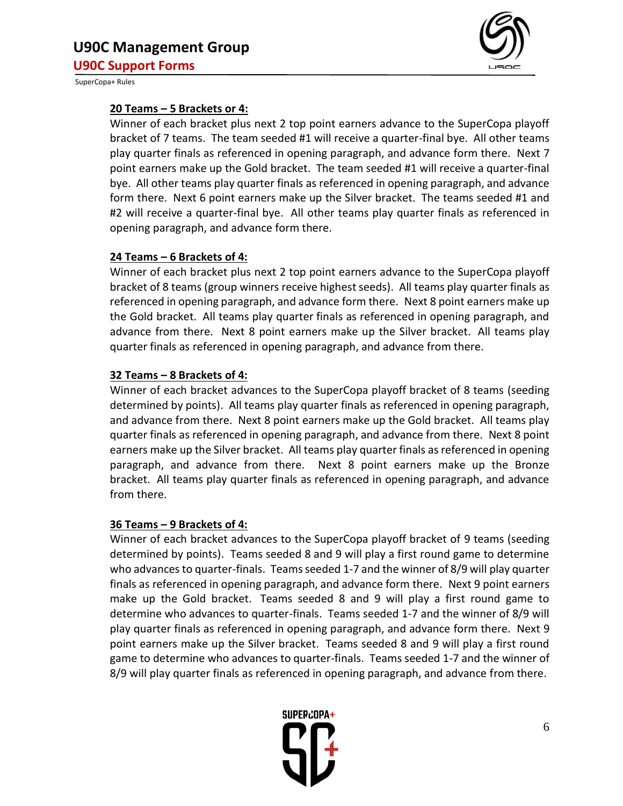

## **20 Teams – 5 Brackets or 4:**

Winner of each bracket plus next 2 top point earners advance to the SuperCopa playoff bracket of 7 teams. The team seeded #1 will receive a quarter-final bye. All other teams play quarter finals as referenced in opening paragraph, and advance form there. Next 7 point earners make up the Gold bracket. The team seeded #1 will receive a quarter-final bye. All other teams play quarter finals as referenced in opening paragraph, and advance form there. Next 6 point earners make up the Silver bracket. The teams seeded #1 and #2 will receive a quarter-final bye. All other teams play quarter finals as referenced in opening paragraph, and advance form there.

## **24 Teams – 6 Brackets of 4:**

Winner of each bracket plus next 2 top point earners advance to the SuperCopa playoff bracket of 8 teams (group winners receive highest seeds). All teams play quarter finals as referenced in opening paragraph, and advance form there. Next 8 point earners make up the Gold bracket. All teams play quarter finals as referenced in opening paragraph, and advance from there. Next 8 point earners make up the Silver bracket. All teams play quarter finals as referenced in opening paragraph, and advance from there.

# **32 Teams – 8 Brackets of 4:**

Winner of each bracket advances to the SuperCopa playoff bracket of 8 teams (seeding determined by points). All teams play quarter finals as referenced in opening paragraph, and advance from there. Next 8 point earners make up the Gold bracket. All teams play quarter finals as referenced in opening paragraph, and advance from there. Next 8 point earners make up the Silver bracket. All teams play quarter finals as referenced in opening paragraph, and advance from there. Next 8 point earners make up the Bronze bracket. All teams play quarter finals as referenced in opening paragraph, and advance from there.

## **36 Teams – 9 Brackets of 4:**

Winner of each bracket advances to the SuperCopa playoff bracket of 9 teams (seeding determined by points). Teams seeded 8 and 9 will play a first round game to determine who advances to quarter-finals. Teams seeded 1-7 and the winner of 8/9 will play quarter finals as referenced in opening paragraph, and advance form there. Next 9 point earners make up the Gold bracket. Teams seeded 8 and 9 will play a first round game to determine who advances to quarter-finals. Teams seeded 1-7 and the winner of 8/9 will play quarter finals as referenced in opening paragraph, and advance form there. Next 9 point earners make up the Silver bracket. Teams seeded 8 and 9 will play a first round game to determine who advances to quarter-finals. Teams seeded 1-7 and the winner of 8/9 will play quarter finals as referenced in opening paragraph, and advance from there.

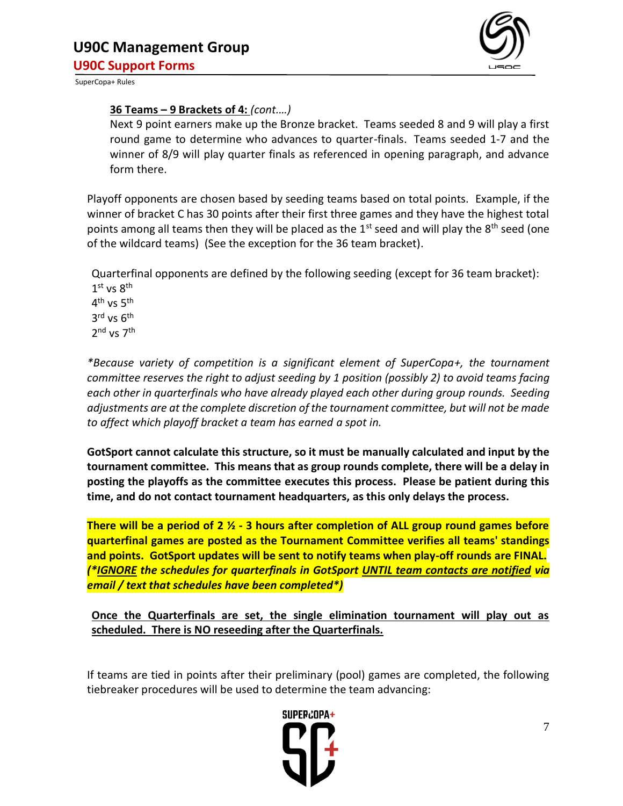

## **36 Teams – 9 Brackets of 4:** *(cont.…)*

Next 9 point earners make up the Bronze bracket. Teams seeded 8 and 9 will play a first round game to determine who advances to quarter-finals. Teams seeded 1-7 and the winner of 8/9 will play quarter finals as referenced in opening paragraph, and advance form there.

Playoff opponents are chosen based by seeding teams based on total points. Example, if the winner of bracket C has 30 points after their first three games and they have the highest total points among all teams then they will be placed as the  $1<sup>st</sup>$  seed and will play the  $8<sup>th</sup>$  seed (one of the wildcard teams) (See the exception for the 36 team bracket).

Quarterfinal opponents are defined by the following seeding (except for 36 team bracket):  $1^{\text{st}}$  vs  $8^{\text{th}}$ 4<sup>th</sup> vs 5<sup>th</sup> 3<sup>rd</sup> vs 6<sup>th</sup> 2<sup>nd</sup> vs 7<sup>th</sup>

*\*Because variety of competition is a significant element of SuperCopa+, the tournament committee reserves the right to adjust seeding by 1 position (possibly 2) to avoid teams facing each other in quarterfinals who have already played each other during group rounds. Seeding adjustments are at the complete discretion of the tournament committee, but will not be made to affect which playoff bracket a team has earned a spot in.*

**GotSport cannot calculate this structure, so it must be manually calculated and input by the tournament committee. This means that as group rounds complete, there will be a delay in posting the playoffs as the committee executes this process. Please be patient during this time, and do not contact tournament headquarters, as this only delays the process.** 

**There will be a period of 2 ½ - 3 hours after completion of ALL group round games before quarterfinal games are posted as the Tournament Committee verifies all teams' standings and points. GotSport updates will be sent to notify teams when play-off rounds are FINAL.** *(\*IGNORE the schedules for quarterfinals in GotSport UNTIL team contacts are notified via email / text that schedules have been completed\*)*

**Once the Quarterfinals are set, the single elimination tournament will play out as scheduled. There is NO reseeding after the Quarterfinals.** 

If teams are tied in points after their preliminary (pool) games are completed, the following tiebreaker procedures will be used to determine the team advancing:

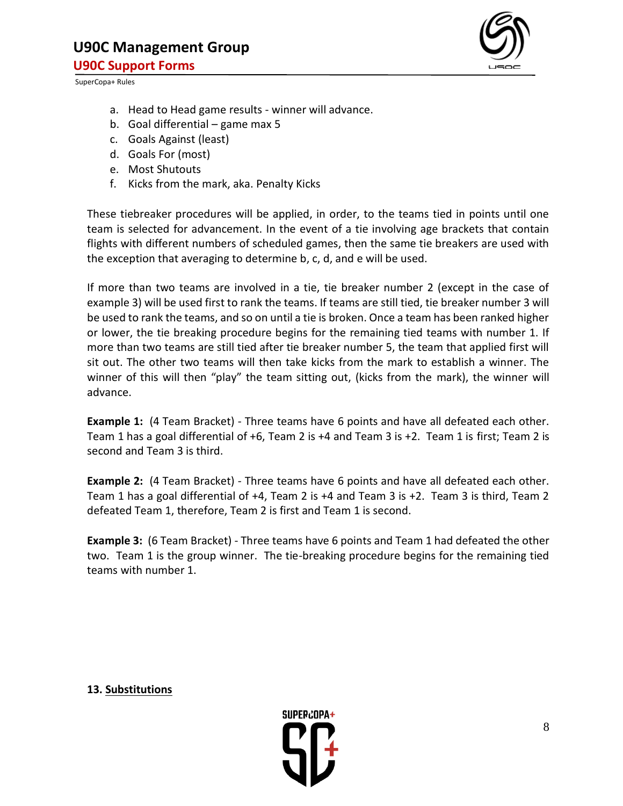

- a. Head to Head game results winner will advance.
- b. Goal differential game max 5
- c. Goals Against (least)
- d. Goals For (most)
- e. Most Shutouts
- f. Kicks from the mark, aka. Penalty Kicks

These tiebreaker procedures will be applied, in order, to the teams tied in points until one team is selected for advancement. In the event of a tie involving age brackets that contain flights with different numbers of scheduled games, then the same tie breakers are used with the exception that averaging to determine b, c, d, and e will be used.

If more than two teams are involved in a tie, tie breaker number 2 (except in the case of example 3) will be used first to rank the teams. If teams are still tied, tie breaker number 3 will be used to rank the teams, and so on until a tie is broken. Once a team has been ranked higher or lower, the tie breaking procedure begins for the remaining tied teams with number 1. If more than two teams are still tied after tie breaker number 5, the team that applied first will sit out. The other two teams will then take kicks from the mark to establish a winner. The winner of this will then "play" the team sitting out, (kicks from the mark), the winner will advance.

**Example 1:** (4 Team Bracket) - Three teams have 6 points and have all defeated each other. Team 1 has a goal differential of +6, Team 2 is +4 and Team 3 is +2. Team 1 is first; Team 2 is second and Team 3 is third.

**Example 2:** (4 Team Bracket) - Three teams have 6 points and have all defeated each other. Team 1 has a goal differential of +4, Team 2 is +4 and Team 3 is +2. Team 3 is third, Team 2 defeated Team 1, therefore, Team 2 is first and Team 1 is second.

**Example 3:** (6 Team Bracket) - Three teams have 6 points and Team 1 had defeated the other two. Team 1 is the group winner. The tie-breaking procedure begins for the remaining tied teams with number 1.

**13. Substitutions**

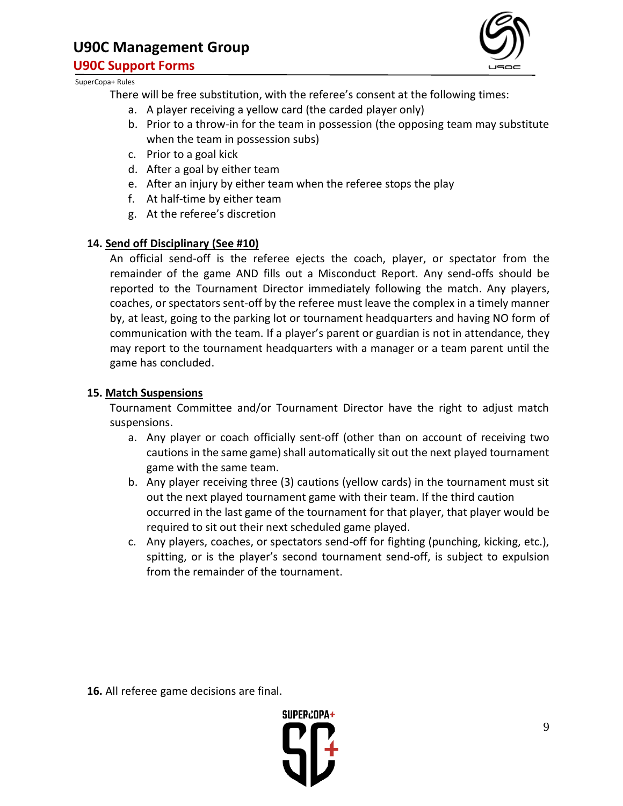# **U90C Management Group**

**U90C Support Forms**



#### SuperCopa+ Rules

There will be free substitution, with the referee's consent at the following times:

- a. A player receiving a yellow card (the carded player only)
- b. Prior to a throw-in for the team in possession (the opposing team may substitute when the team in possession subs)
- c. Prior to a goal kick
- d. After a goal by either team
- e. After an injury by either team when the referee stops the play
- f. At half-time by either team
- g. At the referee's discretion

# **14. Send off Disciplinary (See #10)**

An official send-off is the referee ejects the coach, player, or spectator from the remainder of the game AND fills out a Misconduct Report. Any send-offs should be reported to the Tournament Director immediately following the match. Any players, coaches, or spectators sent-off by the referee must leave the complex in a timely manner by, at least, going to the parking lot or tournament headquarters and having NO form of communication with the team. If a player's parent or guardian is not in attendance, they may report to the tournament headquarters with a manager or a team parent until the game has concluded.

## **15. Match Suspensions**

Tournament Committee and/or Tournament Director have the right to adjust match suspensions.

- a. Any player or coach officially sent-off (other than on account of receiving two cautions in the same game) shall automatically sit out the next played tournament game with the same team.
- b. Any player receiving three (3) cautions (yellow cards) in the tournament must sit out the next played tournament game with their team. If the third caution occurred in the last game of the tournament for that player, that player would be required to sit out their next scheduled game played.
- c. Any players, coaches, or spectators send-off for fighting (punching, kicking, etc.), spitting, or is the player's second tournament send-off, is subject to expulsion from the remainder of the tournament.

**16.** All referee game decisions are final.

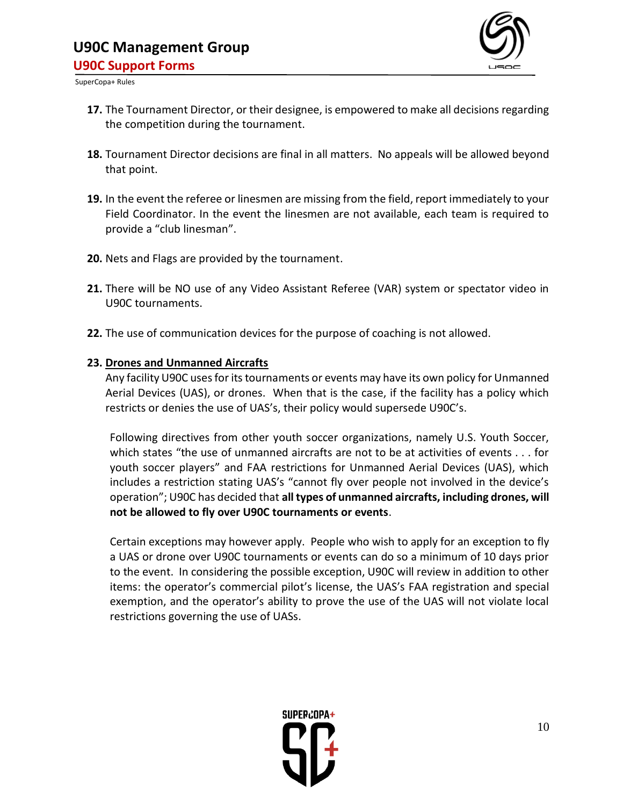

- **17.** The Tournament Director, or their designee, is empowered to make all decisions regarding the competition during the tournament.
- **18.** Tournament Director decisions are final in all matters. No appeals will be allowed beyond that point.
- **19.** In the event the referee or linesmen are missing from the field, report immediately to your Field Coordinator. In the event the linesmen are not available, each team is required to provide a "club linesman".
- **20.** Nets and Flags are provided by the tournament.
- **21.** There will be NO use of any Video Assistant Referee (VAR) system or spectator video in U90C tournaments.
- **22.** The use of communication devices for the purpose of coaching is not allowed.

# **23. Drones and Unmanned Aircrafts**

Any facility U90C uses for its tournaments or events may have its own policy for Unmanned Aerial Devices (UAS), or drones. When that is the case, if the facility has a policy which restricts or denies the use of UAS's, their policy would supersede U90C's.

Following directives from other youth soccer organizations, namely U.S. Youth Soccer, which states "the use of unmanned aircrafts are not to be at activities of events . . . for youth soccer players" and FAA restrictions for Unmanned Aerial Devices (UAS), which includes a restriction stating UAS's "cannot fly over people not involved in the device's operation"; U90C has decided that **all types of unmanned aircrafts, including drones, will not be allowed to fly over U90C tournaments or events**.

Certain exceptions may however apply. People who wish to apply for an exception to fly a UAS or drone over U90C tournaments or events can do so a minimum of 10 days prior to the event. In considering the possible exception, U90C will review in addition to other items: the operator's commercial pilot's license, the UAS's FAA registration and special exemption, and the operator's ability to prove the use of the UAS will not violate local restrictions governing the use of UASs.

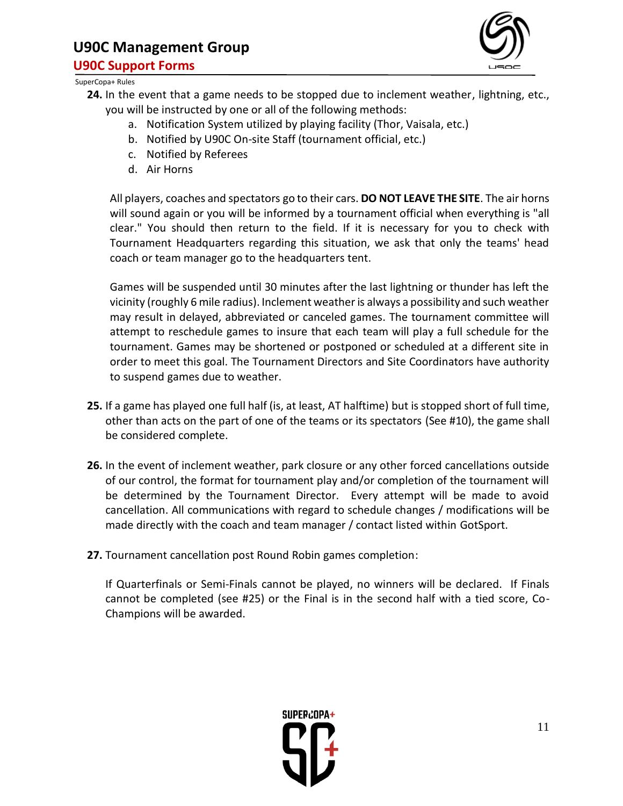# **U90C Management Group U90C Support Forms**



SuperCopa+ Rules

- **24.** In the event that a game needs to be stopped due to inclement weather, lightning, etc., you will be instructed by one or all of the following methods:
	- a. Notification System utilized by playing facility (Thor, Vaisala, etc.)
	- b. Notified by U90C On-site Staff (tournament official, etc.)
	- c. Notified by Referees
	- d. Air Horns

All players, coaches and spectators go to their cars. **DO NOT LEAVE THE SITE**. The air horns will sound again or you will be informed by a tournament official when everything is "all clear." You should then return to the field. If it is necessary for you to check with Tournament Headquarters regarding this situation, we ask that only the teams' head coach or team manager go to the headquarters tent.

Games will be suspended until 30 minutes after the last lightning or thunder has left the vicinity (roughly 6 mile radius). Inclement weather is always a possibility and such weather may result in delayed, abbreviated or canceled games. The tournament committee will attempt to reschedule games to insure that each team will play a full schedule for the tournament. Games may be shortened or postponed or scheduled at a different site in order to meet this goal. The Tournament Directors and Site Coordinators have authority to suspend games due to weather.

- **25.** If a game has played one full half (is, at least, AT halftime) but is stopped short of full time, other than acts on the part of one of the teams or its spectators (See #10), the game shall be considered complete.
- **26.** In the event of inclement weather, park closure or any other forced cancellations outside of our control, the format for tournament play and/or completion of the tournament will be determined by the Tournament Director. Every attempt will be made to avoid cancellation. All communications with regard to schedule changes / modifications will be made directly with the coach and team manager / contact listed within GotSport.
- **27.** Tournament cancellation post Round Robin games completion:

If Quarterfinals or Semi-Finals cannot be played, no winners will be declared. If Finals cannot be completed (see #25) or the Final is in the second half with a tied score, Co-Champions will be awarded.